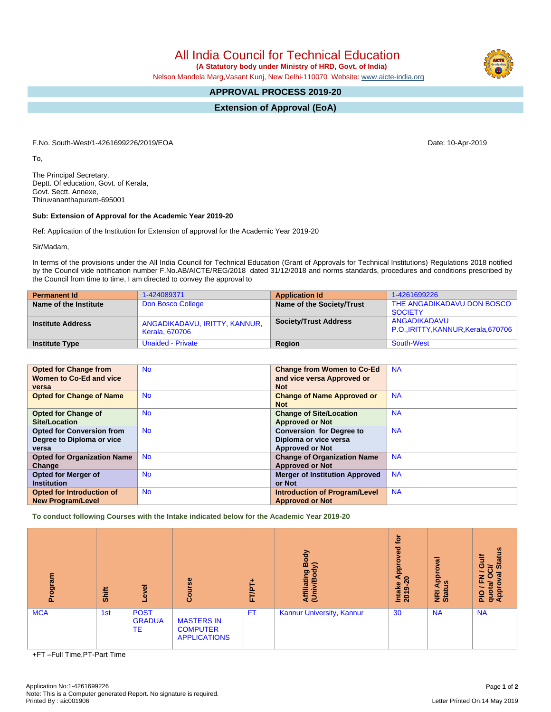All India Council for Technical Education

 **(A Statutory body under Ministry of HRD, Govt. of India)**

Nelson Mandela Marg,Vasant Kunj, New Delhi-110070 Website: [www.aicte-india.org](http://www.aicte-india.org)

## **APPROVAL PROCESS 2019-20**

**Extension of Approval (EoA)**

F.No. South-West/1-4261699226/2019/EOA Date: 10-Apr-2019

To,

The Principal Secretary, Deptt. Of education, Govt. of Kerala, Govt. Sectt. Annexe, Thiruvananthapuram-695001

## **Sub: Extension of Approval for the Academic Year 2019-20**

Ref: Application of the Institution for Extension of approval for the Academic Year 2019-20

Sir/Madam,

In terms of the provisions under the All India Council for Technical Education (Grant of Approvals for Technical Institutions) Regulations 2018 notified by the Council vide notification number F.No.AB/AICTE/REG/2018 dated 31/12/2018 and norms standards, procedures and conditions prescribed by the Council from time to time, I am directed to convey the approval to

| <b>Permanent Id</b>      | 1-424089371                                     | <b>Application Id</b>        | 1-4261699226                                     |
|--------------------------|-------------------------------------------------|------------------------------|--------------------------------------------------|
| Name of the Institute    | Don Bosco College                               | Name of the Society/Trust    | THE ANGADIKADAVU DON BOSCO  <br><b>SOCIETY</b>   |
| <b>Institute Address</b> | ANGADIKADAVU, IRITTY, KANNUR,<br>Kerala, 670706 | <b>Society/Trust Address</b> | ANGADIKADAVU<br>P.O.,IRITTY,KANNUR,Kerala,670706 |
| <b>Institute Type</b>    | <b>Unaided - Private</b>                        | <b>Region</b>                | South-West                                       |

| <b>Opted for Change from</b>       | <b>No</b> | <b>Change from Women to Co-Ed</b>     | <b>NA</b> |
|------------------------------------|-----------|---------------------------------------|-----------|
| <b>Women to Co-Ed and vice</b>     |           | and vice versa Approved or            |           |
| versa                              |           | <b>Not</b>                            |           |
| <b>Opted for Change of Name</b>    | <b>No</b> | <b>Change of Name Approved or</b>     | <b>NA</b> |
|                                    |           | <b>Not</b>                            |           |
| <b>Opted for Change of</b>         | <b>No</b> | <b>Change of Site/Location</b>        | <b>NA</b> |
| Site/Location                      |           | <b>Approved or Not</b>                |           |
| <b>Opted for Conversion from</b>   | <b>No</b> | <b>Conversion for Degree to</b>       | <b>NA</b> |
| Degree to Diploma or vice          |           | Diploma or vice versa                 |           |
| versa                              |           | <b>Approved or Not</b>                |           |
| <b>Opted for Organization Name</b> | <b>No</b> | <b>Change of Organization Name</b>    | <b>NA</b> |
| Change                             |           | <b>Approved or Not</b>                |           |
| <b>Opted for Merger of</b>         | <b>No</b> | <b>Merger of Institution Approved</b> | <b>NA</b> |
| <b>Institution</b>                 |           | or Not                                |           |
| Opted for Introduction of          | <b>No</b> | Introduction of Program/Level         | <b>NA</b> |
| <b>New Program/Level</b>           |           | <b>Approved or Not</b>                |           |

**To conduct following Courses with the Intake indicated below for the Academic Year 2019-20**

| mediou<br>ō. | Shift | g<br>Θ.                            | Course                                                      | ۰<br>FT/PT- | Body<br>⋦<br>liating<br>മ<br><b>Afil</b> | tor<br>roved<br>Appr<br>$\circ$<br>Intake<br>2019-2 | Approval<br><b>E</b> at | <b>Status</b><br>₹<br>ပ<br>≃<br>œ<br>z<br>O<br>щ.<br>ñ.<br>quot<br>Appr<br><b>PIO</b> |
|--------------|-------|------------------------------------|-------------------------------------------------------------|-------------|------------------------------------------|-----------------------------------------------------|-------------------------|---------------------------------------------------------------------------------------|
| <b>MCA</b>   | 1st   | <b>POST</b><br><b>GRADUA</b><br>TE | <b>MASTERS IN</b><br><b>COMPUTER</b><br><b>APPLICATIONS</b> | FT.         | Kannur University, Kannur                | 30                                                  | <b>NA</b>               | <b>NA</b>                                                                             |

+FT –Full Time,PT-Part Time